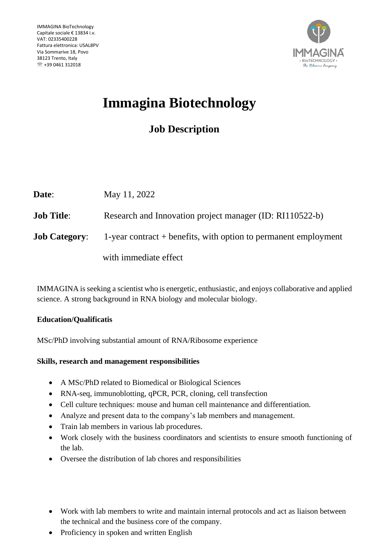

# **Immagina Biotechnology**

## **Job Description**

| Date:                | May 11, 2022                                                      |
|----------------------|-------------------------------------------------------------------|
| <b>Job Title:</b>    | Research and Innovation project manager (ID: RI110522-b)          |
| <b>Job Category:</b> | 1-year contract $+$ benefits, with option to permanent employment |
|                      | with immediate effect                                             |

IMMAGINA is seeking a scientist who is energetic, enthusiastic, and enjoys collaborative and applied science. A strong background in RNA biology and molecular biology.

### **Education/Qualificatis**

MSc/PhD involving substantial amount of RNA/Ribosome experience

#### **Skills, research and management responsibilities**

- A MSc/PhD related to Biomedical or Biological Sciences
- RNA-seq, immunoblotting, qPCR, PCR, cloning, cell transfection
- Cell culture techniques: mouse and human cell maintenance and differentiation.
- Analyze and present data to the company's lab members and management.
- Train lab members in various lab procedures.
- Work closely with the business coordinators and scientists to ensure smooth functioning of the lab.
- Oversee the distribution of lab chores and responsibilities
- Work with lab members to write and maintain internal protocols and act as liaison between the technical and the business core of the company.
- Proficiency in spoken and written English